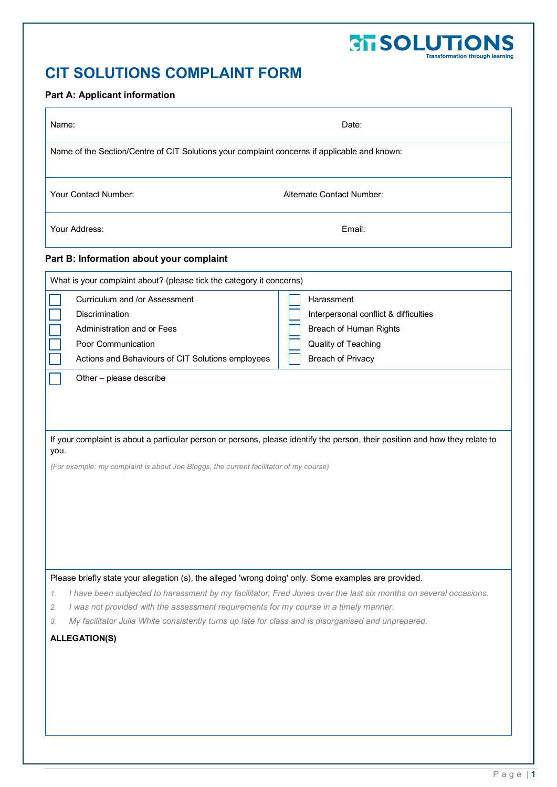## **CTT SOLUTIONS**<br>Transformation through learning

## **CIT SOLUTIONS COMPLAINT FORM**

## **Part A: Applicant information**

| Name:                                                                                                                                                                                                                         | Date:                                 |  |  |
|-------------------------------------------------------------------------------------------------------------------------------------------------------------------------------------------------------------------------------|---------------------------------------|--|--|
| Name of the Section/Centre of CIT Solutions your complaint concerns if applicable and known:                                                                                                                                  |                                       |  |  |
| Your Contact Number:                                                                                                                                                                                                          | Alternate Contact Number:             |  |  |
| Your Address:                                                                                                                                                                                                                 | Email:                                |  |  |
| Part B: Information about your complaint                                                                                                                                                                                      |                                       |  |  |
| What is your complaint about? (please tick the category it concerns)                                                                                                                                                          |                                       |  |  |
| Curriculum and /or Assessment                                                                                                                                                                                                 | Harassment                            |  |  |
| <b>Discrimination</b>                                                                                                                                                                                                         | Interpersonal conflict & difficulties |  |  |
| Administration and or Fees                                                                                                                                                                                                    | Breach of Human Rights                |  |  |
| Poor Communication                                                                                                                                                                                                            | Quality of Teaching                   |  |  |
| Actions and Behaviours of CIT Solutions employees                                                                                                                                                                             | <b>Breach of Privacy</b>              |  |  |
| If your complaint is about a particular person or persons, please identify the person, their position and how they relate to<br>you.<br>(For example: my complaint is about Joe Bloggs, the current facilitator of my course) |                                       |  |  |
| Please briefly state your allegation (s), the alleged 'wrong doing' only. Some examples are provided.                                                                                                                         |                                       |  |  |
| I have been subjected to harassment by my facilitator, Fred Jones over the last six months on several occasions.<br>1.<br>I was not provided with the assessment requirements for my course in a timely manner.               |                                       |  |  |
| 2.<br>My facilitator Julia White consistently turns up late for class and is disorganised and unprepared.<br>3.                                                                                                               |                                       |  |  |
| <b>ALLEGATION(S)</b>                                                                                                                                                                                                          |                                       |  |  |
|                                                                                                                                                                                                                               |                                       |  |  |
|                                                                                                                                                                                                                               |                                       |  |  |
|                                                                                                                                                                                                                               |                                       |  |  |
|                                                                                                                                                                                                                               |                                       |  |  |
|                                                                                                                                                                                                                               |                                       |  |  |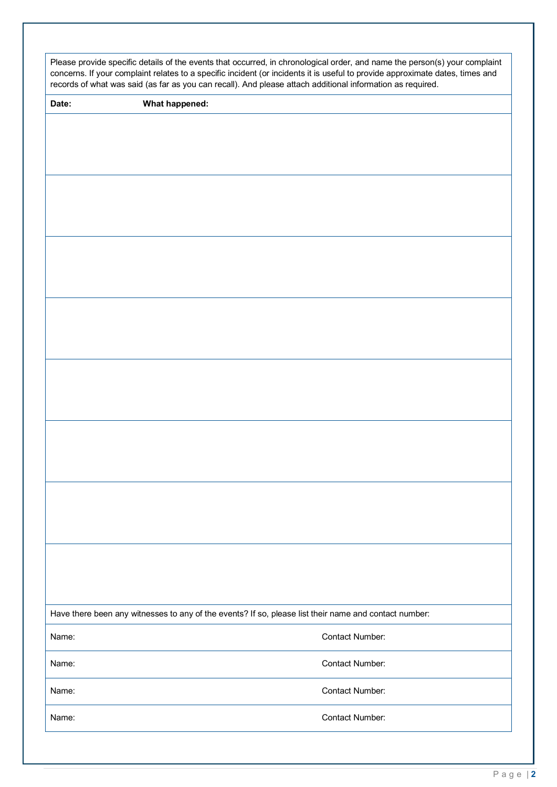| Please provide specific details of the events that occurred, in chronological order, and name the person(s) your complaint<br>concerns. If your complaint relates to a specific incident (or incidents it is useful to provide approximate dates, times and<br>records of what was said (as far as you can recall). And please attach additional information as required. |                                                                                                       |
|---------------------------------------------------------------------------------------------------------------------------------------------------------------------------------------------------------------------------------------------------------------------------------------------------------------------------------------------------------------------------|-------------------------------------------------------------------------------------------------------|
| Date:                                                                                                                                                                                                                                                                                                                                                                     | What happened:                                                                                        |
|                                                                                                                                                                                                                                                                                                                                                                           |                                                                                                       |
|                                                                                                                                                                                                                                                                                                                                                                           |                                                                                                       |
|                                                                                                                                                                                                                                                                                                                                                                           |                                                                                                       |
|                                                                                                                                                                                                                                                                                                                                                                           |                                                                                                       |
|                                                                                                                                                                                                                                                                                                                                                                           |                                                                                                       |
|                                                                                                                                                                                                                                                                                                                                                                           |                                                                                                       |
|                                                                                                                                                                                                                                                                                                                                                                           |                                                                                                       |
|                                                                                                                                                                                                                                                                                                                                                                           |                                                                                                       |
|                                                                                                                                                                                                                                                                                                                                                                           |                                                                                                       |
|                                                                                                                                                                                                                                                                                                                                                                           |                                                                                                       |
|                                                                                                                                                                                                                                                                                                                                                                           |                                                                                                       |
|                                                                                                                                                                                                                                                                                                                                                                           |                                                                                                       |
|                                                                                                                                                                                                                                                                                                                                                                           |                                                                                                       |
|                                                                                                                                                                                                                                                                                                                                                                           |                                                                                                       |
|                                                                                                                                                                                                                                                                                                                                                                           |                                                                                                       |
|                                                                                                                                                                                                                                                                                                                                                                           |                                                                                                       |
|                                                                                                                                                                                                                                                                                                                                                                           |                                                                                                       |
|                                                                                                                                                                                                                                                                                                                                                                           |                                                                                                       |
|                                                                                                                                                                                                                                                                                                                                                                           |                                                                                                       |
|                                                                                                                                                                                                                                                                                                                                                                           |                                                                                                       |
|                                                                                                                                                                                                                                                                                                                                                                           |                                                                                                       |
|                                                                                                                                                                                                                                                                                                                                                                           |                                                                                                       |
|                                                                                                                                                                                                                                                                                                                                                                           |                                                                                                       |
|                                                                                                                                                                                                                                                                                                                                                                           |                                                                                                       |
|                                                                                                                                                                                                                                                                                                                                                                           |                                                                                                       |
|                                                                                                                                                                                                                                                                                                                                                                           |                                                                                                       |
|                                                                                                                                                                                                                                                                                                                                                                           |                                                                                                       |
|                                                                                                                                                                                                                                                                                                                                                                           |                                                                                                       |
|                                                                                                                                                                                                                                                                                                                                                                           | Have there been any witnesses to any of the events? If so, please list their name and contact number: |
| Name:                                                                                                                                                                                                                                                                                                                                                                     | Contact Number:                                                                                       |
| Name:                                                                                                                                                                                                                                                                                                                                                                     | Contact Number:                                                                                       |
| Name:                                                                                                                                                                                                                                                                                                                                                                     | Contact Number:                                                                                       |
| Name:                                                                                                                                                                                                                                                                                                                                                                     | <b>Contact Number:</b>                                                                                |